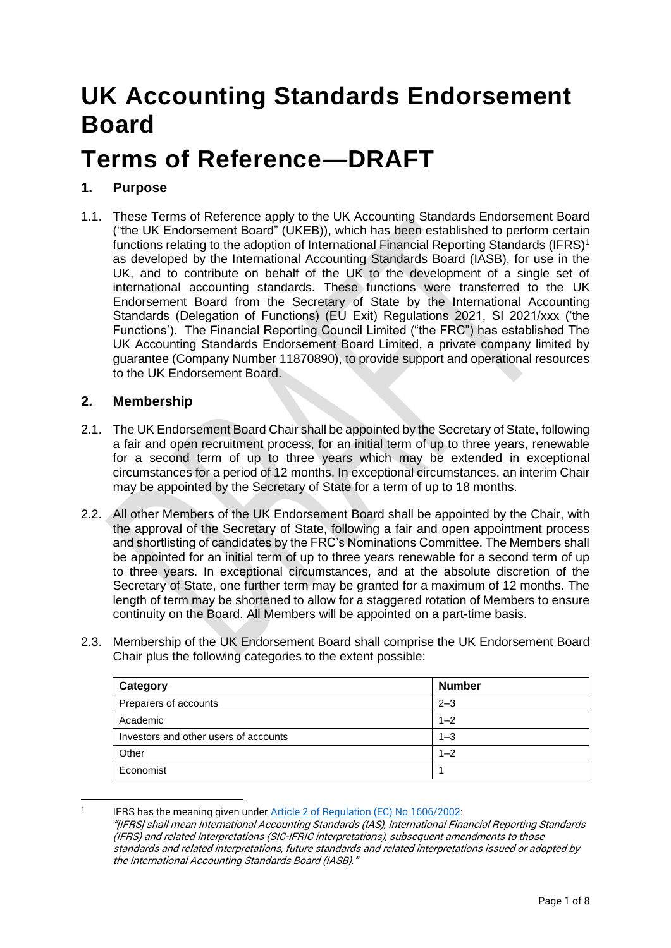# **UK Accounting Standards Endorsement Board**

# **Terms of Reference—DRAFT**

# **1. Purpose**

1.1. These Terms of Reference apply to the UK Accounting Standards Endorsement Board ("the UK Endorsement Board" (UKEB)), which has been established to perform certain functions relating to the adoption of International Financial Reporting Standards (IFRS)<sup>1</sup> as developed by the International Accounting Standards Board (IASB), for use in the UK, and to contribute on behalf of the UK to the development of a single set of international accounting standards. These functions were transferred to the UK Endorsement Board from the Secretary of State by the International Accounting Standards (Delegation of Functions) (EU Exit) Regulations 2021, SI 2021/xxx ('the Functions'). The Financial Reporting Council Limited ("the FRC") has established The UK Accounting Standards Endorsement Board Limited, a private company limited by guarantee (Company Number 11870890), to provide support and operational resources to the UK Endorsement Board.

## **2. Membership**

- 2.1. The UK Endorsement Board Chair shall be appointed by the Secretary of State, following a fair and open recruitment process, for an initial term of up to three years, renewable for a second term of up to three years which may be extended in exceptional circumstances for a period of 12 months. In exceptional circumstances, an interim Chair may be appointed by the Secretary of State for a term of up to 18 months.
- 2.2. All other Members of the UK Endorsement Board shall be appointed by the Chair, with the approval of the Secretary of State, following a fair and open appointment process and shortlisting of candidates by the FRC's Nominations Committee. The Members shall be appointed for an initial term of up to three years renewable for a second term of up to three years. In exceptional circumstances, and at the absolute discretion of the Secretary of State, one further term may be granted for a maximum of 12 months. The length of term may be shortened to allow for a staggered rotation of Members to ensure continuity on the Board. All Members will be appointed on a part-time basis.
- 2.3. Membership of the UK Endorsement Board shall comprise the UK Endorsement Board Chair plus the following categories to the extent possible:

| Category                              | <b>Number</b> |
|---------------------------------------|---------------|
| Preparers of accounts                 | $2 - 3$       |
| Academic                              | $1 - 2$       |
| Investors and other users of accounts | $1 - 3$       |
| Other                                 | $1 - 2$       |
| Economist                             |               |

<sup>1</sup> IFRS has the meaning given under [Article 2 of Regulation \(EC\) No 1606/2002:](https://eur02.safelinks.protection.outlook.com/?url=http%3A%2F%2Fwww.legislation.gov.uk%2Feur%2F2002%2F1606%2Farticle%2F2&data=02%7C01%7Cjohn.conway%40beis.gov.uk%7Cd14d83ac11dd47f51a0b08d7a59ccf42%7Ccbac700502c143ebb497e6492d1b2dd8%7C0%7C0%7C637159965211853980&sdata=nX%2Bm0w6nggtyMNOfS8RVFWkSoiYnePftjLdSjt7qo44%3D&reserved=0) "[IFRS] shall mean International Accounting Standards (IAS), International Financial Reporting Standards (IFRS) and related Interpretations (SIC-IFRIC interpretations), subsequent amendments to those standards and related interpretations, future standards and related interpretations issued or adopted by the International Accounting Standards Board (IASB)."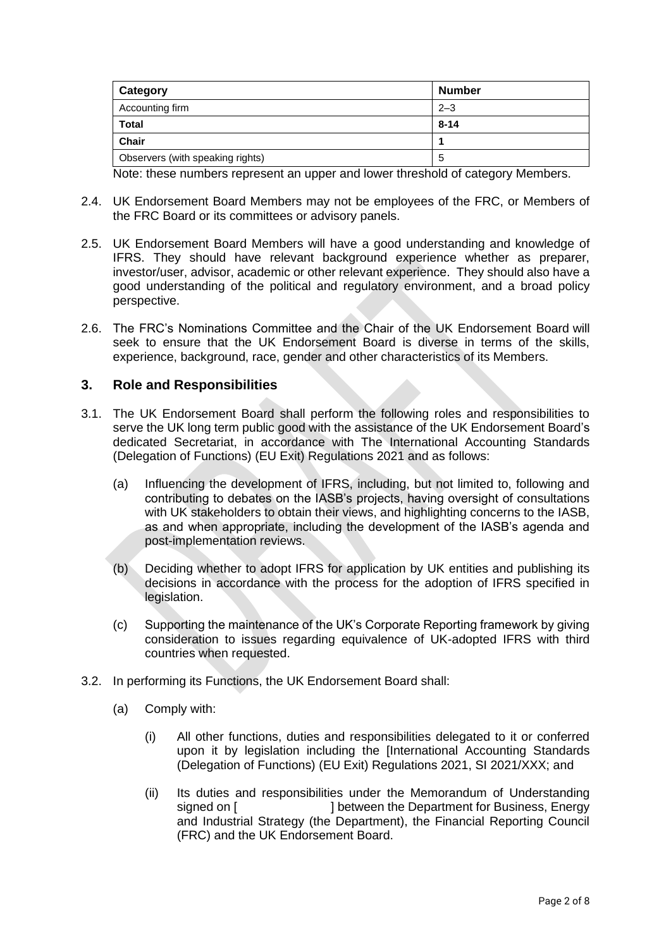| Category                         | <b>Number</b> |
|----------------------------------|---------------|
| Accounting firm                  | $2 - 3$       |
| <b>Total</b>                     | $8 - 14$      |
| <b>Chair</b>                     |               |
| Observers (with speaking rights) | b             |

Note: these numbers represent an upper and lower threshold of category Members.

- 2.4. UK Endorsement Board Members may not be employees of the FRC, or Members of the FRC Board or its committees or advisory panels.
- 2.5. UK Endorsement Board Members will have a good understanding and knowledge of IFRS. They should have relevant background experience whether as preparer, investor/user, advisor, academic or other relevant experience. They should also have a good understanding of the political and regulatory environment, and a broad policy perspective.
- 2.6. The FRC's Nominations Committee and the Chair of the UK Endorsement Board will seek to ensure that the UK Endorsement Board is diverse in terms of the skills, experience, background, race, gender and other characteristics of its Members.

#### **3. Role and Responsibilities**

- 3.1. The UK Endorsement Board shall perform the following roles and responsibilities to serve the UK long term public good with the assistance of the UK Endorsement Board's dedicated Secretariat, in accordance with The International Accounting Standards (Delegation of Functions) (EU Exit) Regulations 2021 and as follows:
	- (a) Influencing the development of IFRS, including, but not limited to, following and contributing to debates on the IASB's projects, having oversight of consultations with UK stakeholders to obtain their views, and highlighting concerns to the IASB, as and when appropriate, including the development of the IASB's agenda and post-implementation reviews.
	- (b) Deciding whether to adopt IFRS for application by UK entities and publishing its decisions in accordance with the process for the adoption of IFRS specified in legislation.
	- (c) Supporting the maintenance of the UK's Corporate Reporting framework by giving consideration to issues regarding equivalence of UK-adopted IFRS with third countries when requested.
- 3.2. In performing its Functions, the UK Endorsement Board shall:
	- (a) Comply with:
		- (i) All other functions, duties and responsibilities delegated to it or conferred upon it by legislation including the [International Accounting Standards (Delegation of Functions) (EU Exit) Regulations 2021, SI 2021/XXX; and
		- (ii) Its duties and responsibilities under the Memorandum of Understanding signed on [  $\qquad$  ] between the Department for Business, Energy and Industrial Strategy (the Department), the Financial Reporting Council (FRC) and the UK Endorsement Board.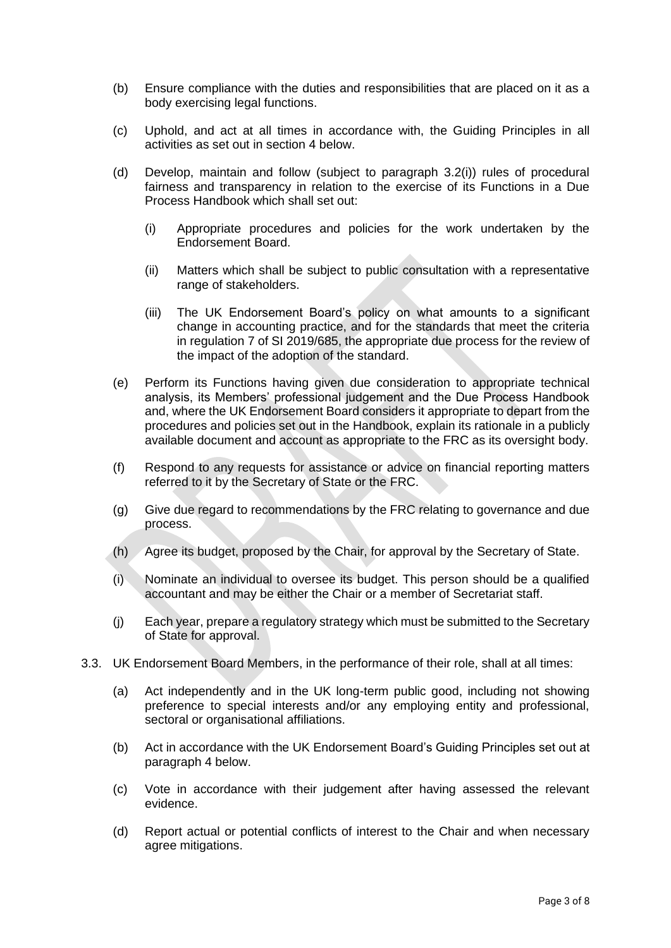- (b) Ensure compliance with the duties and responsibilities that are placed on it as a body exercising legal functions.
- (c) Uphold, and act at all times in accordance with, the Guiding Principles in all activities as set out in section 4 below.
- (d) Develop, maintain and follow (subject to paragraph 3.2(i)) rules of procedural fairness and transparency in relation to the exercise of its Functions in a Due Process Handbook which shall set out:
	- (i) Appropriate procedures and policies for the work undertaken by the Endorsement Board.
	- (ii) Matters which shall be subject to public consultation with a representative range of stakeholders.
	- (iii) The UK Endorsement Board's policy on what amounts to a significant change in accounting practice, and for the standards that meet the criteria in regulation 7 of SI 2019/685, the appropriate due process for the review of the impact of the adoption of the standard.
- (e) Perform its Functions having given due consideration to appropriate technical analysis, its Members' professional judgement and the Due Process Handbook and, where the UK Endorsement Board considers it appropriate to depart from the procedures and policies set out in the Handbook, explain its rationale in a publicly available document and account as appropriate to the FRC as its oversight body.
- (f) Respond to any requests for assistance or advice on financial reporting matters referred to it by the Secretary of State or the FRC.
- (g) Give due regard to recommendations by the FRC relating to governance and due process.
- (h) Agree its budget, proposed by the Chair, for approval by the Secretary of State.
- (i) Nominate an individual to oversee its budget. This person should be a qualified accountant and may be either the Chair or a member of Secretariat staff.
- (j) Each year, prepare a regulatory strategy which must be submitted to the Secretary of State for approval.
- 3.3. UK Endorsement Board Members, in the performance of their role, shall at all times:
	- (a) Act independently and in the UK long-term public good, including not showing preference to special interests and/or any employing entity and professional, sectoral or organisational affiliations.
	- (b) Act in accordance with the UK Endorsement Board's Guiding Principles set out at paragraph 4 below.
	- (c) Vote in accordance with their judgement after having assessed the relevant evidence.
	- (d) Report actual or potential conflicts of interest to the Chair and when necessary agree mitigations.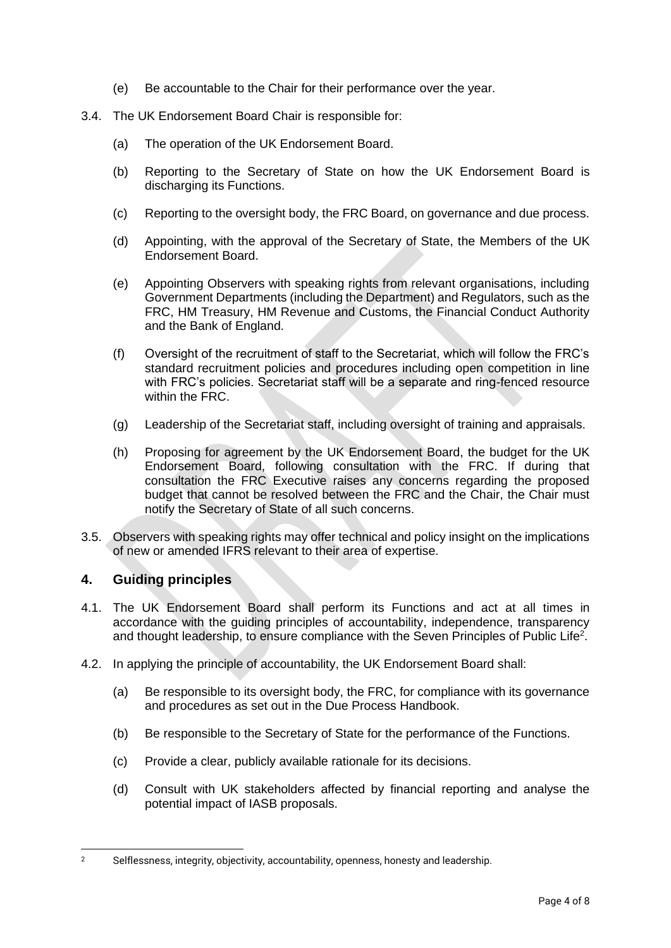- (e) Be accountable to the Chair for their performance over the year.
- 3.4. The UK Endorsement Board Chair is responsible for:
	- (a) The operation of the UK Endorsement Board.
	- (b) Reporting to the Secretary of State on how the UK Endorsement Board is discharging its Functions.
	- (c) Reporting to the oversight body, the FRC Board, on governance and due process.
	- (d) Appointing, with the approval of the Secretary of State, the Members of the UK Endorsement Board.
	- (e) Appointing Observers with speaking rights from relevant organisations, including Government Departments (including the Department) and Regulators, such as the FRC, HM Treasury, HM Revenue and Customs, the Financial Conduct Authority and the Bank of England.
	- (f) Oversight of the recruitment of staff to the Secretariat, which will follow the FRC's standard recruitment policies and procedures including open competition in line with FRC's policies. Secretariat staff will be a separate and ring-fenced resource within the FRC.
	- (g) Leadership of the Secretariat staff, including oversight of training and appraisals.
	- (h) Proposing for agreement by the UK Endorsement Board, the budget for the UK Endorsement Board, following consultation with the FRC. If during that consultation the FRC Executive raises any concerns regarding the proposed budget that cannot be resolved between the FRC and the Chair, the Chair must notify the Secretary of State of all such concerns.
- 3.5. Observers with speaking rights may offer technical and policy insight on the implications of new or amended IFRS relevant to their area of expertise.

## **4. Guiding principles**

- 4.1. The UK Endorsement Board shall perform its Functions and act at all times in accordance with the guiding principles of accountability, independence, transparency and thought leadership, to ensure compliance with the Seven Principles of Public Life<sup>2</sup>.
- 4.2. In applying the principle of accountability, the UK Endorsement Board shall:
	- (a) Be responsible to its oversight body, the FRC, for compliance with its governance and procedures as set out in the Due Process Handbook.
	- (b) Be responsible to the Secretary of State for the performance of the Functions.
	- (c) Provide a clear, publicly available rationale for its decisions.
	- (d) Consult with UK stakeholders affected by financial reporting and analyse the potential impact of IASB proposals.

<sup>2</sup> Selflessness, integrity, objectivity, accountability, openness, honesty and leadership.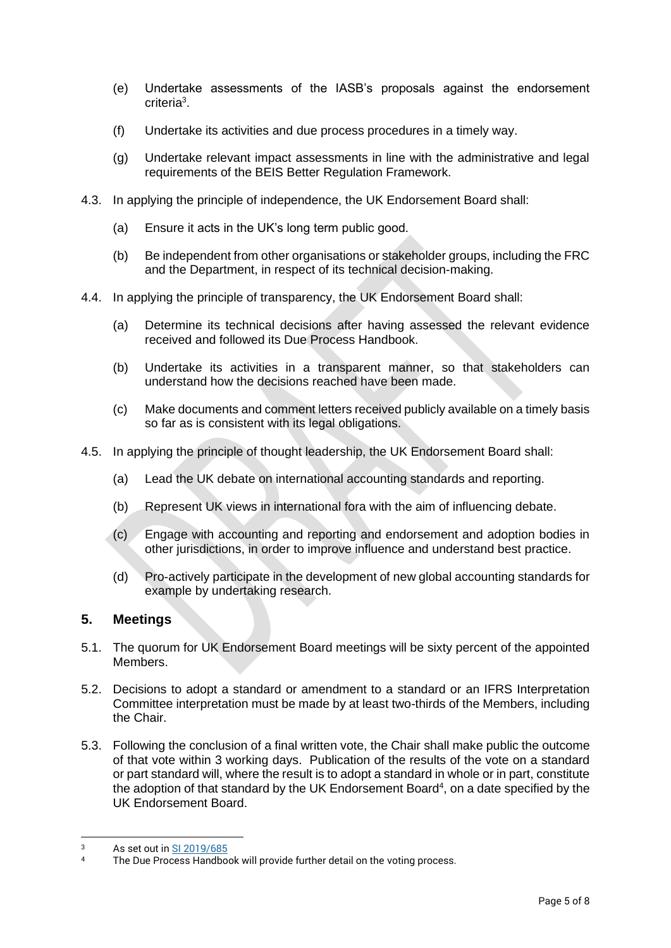- (e) Undertake assessments of the IASB's proposals against the endorsement criteria<sup>3</sup>.
- (f) Undertake its activities and due process procedures in a timely way.
- (g) Undertake relevant impact assessments in line with the administrative and legal requirements of the BEIS Better Regulation Framework.
- 4.3. In applying the principle of independence, the UK Endorsement Board shall:
	- (a) Ensure it acts in the UK's long term public good.
	- (b) Be independent from other organisations or stakeholder groups, including the FRC and the Department, in respect of its technical decision-making.
- 4.4. In applying the principle of transparency, the UK Endorsement Board shall:
	- (a) Determine its technical decisions after having assessed the relevant evidence received and followed its Due Process Handbook.
	- (b) Undertake its activities in a transparent manner, so that stakeholders can understand how the decisions reached have been made.
	- (c) Make documents and comment letters received publicly available on a timely basis so far as is consistent with its legal obligations.
- 4.5. In applying the principle of thought leadership, the UK Endorsement Board shall:
	- (a) Lead the UK debate on international accounting standards and reporting.
	- (b) Represent UK views in international fora with the aim of influencing debate.
	- (c) Engage with accounting and reporting and endorsement and adoption bodies in other jurisdictions, in order to improve influence and understand best practice.
	- (d) Pro-actively participate in the development of new global accounting standards for example by undertaking research.

#### **5. Meetings**

- 5.1. The quorum for UK Endorsement Board meetings will be sixty percent of the appointed Members.
- 5.2. Decisions to adopt a standard or amendment to a standard or an IFRS Interpretation Committee interpretation must be made by at least two-thirds of the Members, including the Chair.
- 5.3. Following the conclusion of a final written vote, the Chair shall make public the outcome of that vote within 3 working days. Publication of the results of the vote on a standard or part standard will, where the result is to adopt a standard in whole or in part, constitute the adoption of that standard by the UK Endorsement Board<sup>4</sup>, on a date specified by the UK Endorsement Board.

 $3$  As set out in  $\frac{SI 2019/685}{I}$ 

The Due Process Handbook will provide further detail on the voting process.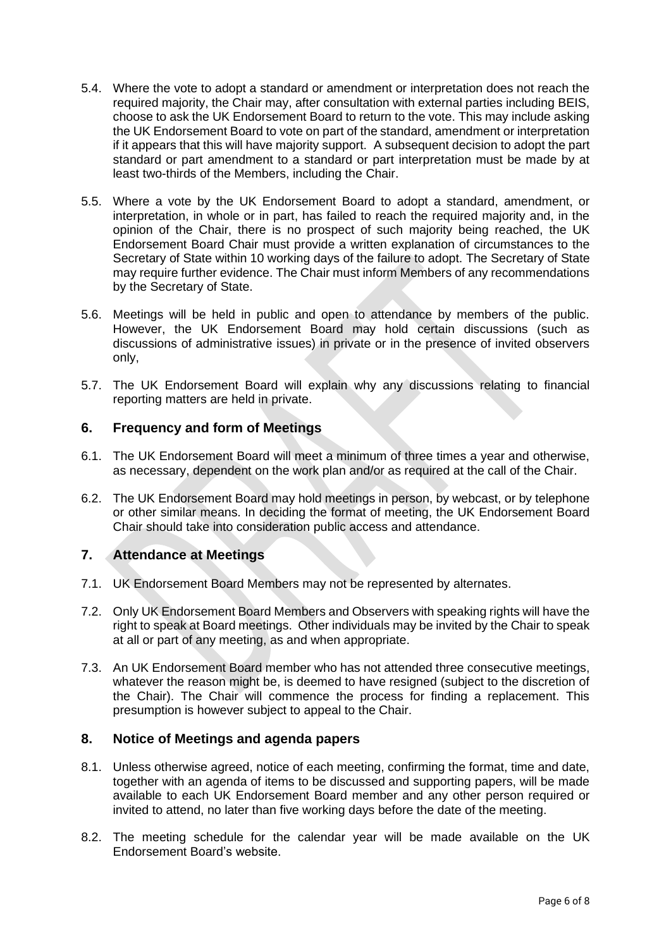- 5.4. Where the vote to adopt a standard or amendment or interpretation does not reach the required majority, the Chair may, after consultation with external parties including BEIS, choose to ask the UK Endorsement Board to return to the vote. This may include asking the UK Endorsement Board to vote on part of the standard, amendment or interpretation if it appears that this will have majority support. A subsequent decision to adopt the part standard or part amendment to a standard or part interpretation must be made by at least two-thirds of the Members, including the Chair.
- 5.5. Where a vote by the UK Endorsement Board to adopt a standard, amendment, or interpretation, in whole or in part, has failed to reach the required majority and, in the opinion of the Chair, there is no prospect of such majority being reached, the UK Endorsement Board Chair must provide a written explanation of circumstances to the Secretary of State within 10 working days of the failure to adopt. The Secretary of State may require further evidence. The Chair must inform Members of any recommendations by the Secretary of State.
- 5.6. Meetings will be held in public and open to attendance by members of the public. However, the UK Endorsement Board may hold certain discussions (such as discussions of administrative issues) in private or in the presence of invited observers only,
- 5.7. The UK Endorsement Board will explain why any discussions relating to financial reporting matters are held in private.

#### **6. Frequency and form of Meetings**

- 6.1. The UK Endorsement Board will meet a minimum of three times a year and otherwise, as necessary, dependent on the work plan and/or as required at the call of the Chair.
- 6.2. The UK Endorsement Board may hold meetings in person, by webcast, or by telephone or other similar means. In deciding the format of meeting, the UK Endorsement Board Chair should take into consideration public access and attendance.

#### **7. Attendance at Meetings**

- 7.1. UK Endorsement Board Members may not be represented by alternates.
- 7.2. Only UK Endorsement Board Members and Observers with speaking rights will have the right to speak at Board meetings. Other individuals may be invited by the Chair to speak at all or part of any meeting, as and when appropriate.
- 7.3. An UK Endorsement Board member who has not attended three consecutive meetings, whatever the reason might be, is deemed to have resigned (subject to the discretion of the Chair). The Chair will commence the process for finding a replacement. This presumption is however subject to appeal to the Chair.

#### **8. Notice of Meetings and agenda papers**

- 8.1. Unless otherwise agreed, notice of each meeting, confirming the format, time and date, together with an agenda of items to be discussed and supporting papers, will be made available to each UK Endorsement Board member and any other person required or invited to attend, no later than five working days before the date of the meeting.
- 8.2. The meeting schedule for the calendar year will be made available on the UK Endorsement Board's website.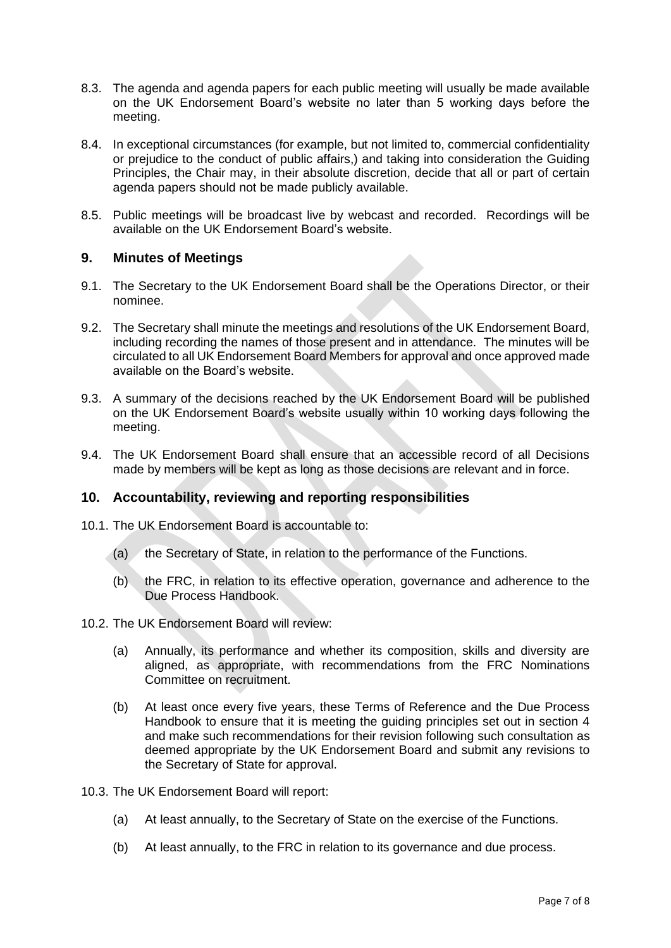- 8.3. The agenda and agenda papers for each public meeting will usually be made available on the UK Endorsement Board's website no later than 5 working days before the meeting.
- 8.4. In exceptional circumstances (for example, but not limited to, commercial confidentiality or prejudice to the conduct of public affairs,) and taking into consideration the Guiding Principles, the Chair may, in their absolute discretion, decide that all or part of certain agenda papers should not be made publicly available.
- 8.5. Public meetings will be broadcast live by webcast and recorded. Recordings will be available on the UK Endorsement Board's website.

#### **9. Minutes of Meetings**

- 9.1. The Secretary to the UK Endorsement Board shall be the Operations Director, or their nominee.
- 9.2. The Secretary shall minute the meetings and resolutions of the UK Endorsement Board, including recording the names of those present and in attendance. The minutes will be circulated to all UK Endorsement Board Members for approval and once approved made available on the Board's website.
- 9.3. A summary of the decisions reached by the UK Endorsement Board will be published on the UK Endorsement Board's website usually within 10 working days following the meeting.
- 9.4. The UK Endorsement Board shall ensure that an accessible record of all Decisions made by members will be kept as long as those decisions are relevant and in force.

## **10. Accountability, reviewing and reporting responsibilities**

- 10.1. The UK Endorsement Board is accountable to:
	- (a) the Secretary of State, in relation to the performance of the Functions.
	- (b) the FRC, in relation to its effective operation, governance and adherence to the Due Process Handbook.
- 10.2. The UK Endorsement Board will review:
	- (a) Annually, its performance and whether its composition, skills and diversity are aligned, as appropriate, with recommendations from the FRC Nominations Committee on recruitment.
	- (b) At least once every five years, these Terms of Reference and the Due Process Handbook to ensure that it is meeting the guiding principles set out in section 4 and make such recommendations for their revision following such consultation as deemed appropriate by the UK Endorsement Board and submit any revisions to the Secretary of State for approval.
- 10.3. The UK Endorsement Board will report:
	- (a) At least annually, to the Secretary of State on the exercise of the Functions.
	- (b) At least annually, to the FRC in relation to its governance and due process.